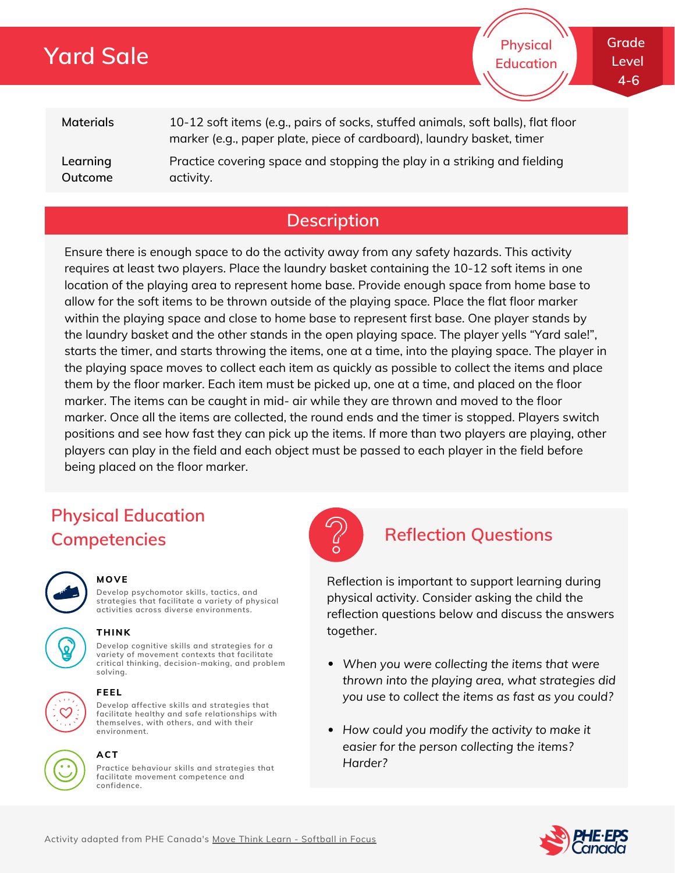# **Yard Sale**

**Physical Education**

**Level 4-6**

**Materials Learning Outcome** 10-12 soft items (e.g., pairs of socks, stuffed animals, soft balls), flat floor marker (e.g., paper plate, piece of cardboard), laundry basket, timer Practice covering space and stopping the play in a striking and fielding activity.

## **Description**

Ensure there is enough space to do the activity away from any safety hazards. This activity requires at least two players. Place the laundry basket containing the 10-12 soft items in one location of the playing area to represent home base. Provide enough space from home base to allow for the soft items to be thrown outside of the playing space. Place the flat floor marker within the playing space and close to home base to represent first base. One player stands by the laundry basket and the other stands in the open playing space. The player yells "Yard sale!", starts the timer, and starts throwing the items, one at a time, into the playing space. The player in the playing space moves to collect each item as quickly as possible to collect the items and place them by the floor marker. Each item must be picked up, one at a time, and placed on the floor marker. The items can be caught in mid- air while they are thrown and moved to the floor marker. Once all the items are collected, the round ends and the timer is stopped. Players switch positions and see how fast they can pick up the items. If more than two players are playing, other players can play in the field and each object must be passed to each player in the field before being placed on the floor marker.

## **Physical Education Competencies Reflection Questions**



#### **MOVE**

**Develop psychomotor skills, tactics, and strategies that facilitate a variety of physical activities across diverse environments.**





### **THINK**

**Develop cognitive skills and strategies for a variety of movement contexts that facilitate critical thinking, decision-making, and problem solving.**



#### **FEEL**

**Develop affective skills and strategies that facilitate healthy and safe relationships with themselves, with others, and with their environment.**



**Practice behaviour skills and strategies that facilitate movement competence and confidence. ACT**



Reflection is important to support learning during physical activity. Consider asking the child the reflection questions below and discuss the answers together.

- *When you were collecting the items that were thrown into the playing area, what strategies did you use to collect the items as fast as you could?*
- *How could you modify the activity to make it easier for the person collecting the items? Harder?*